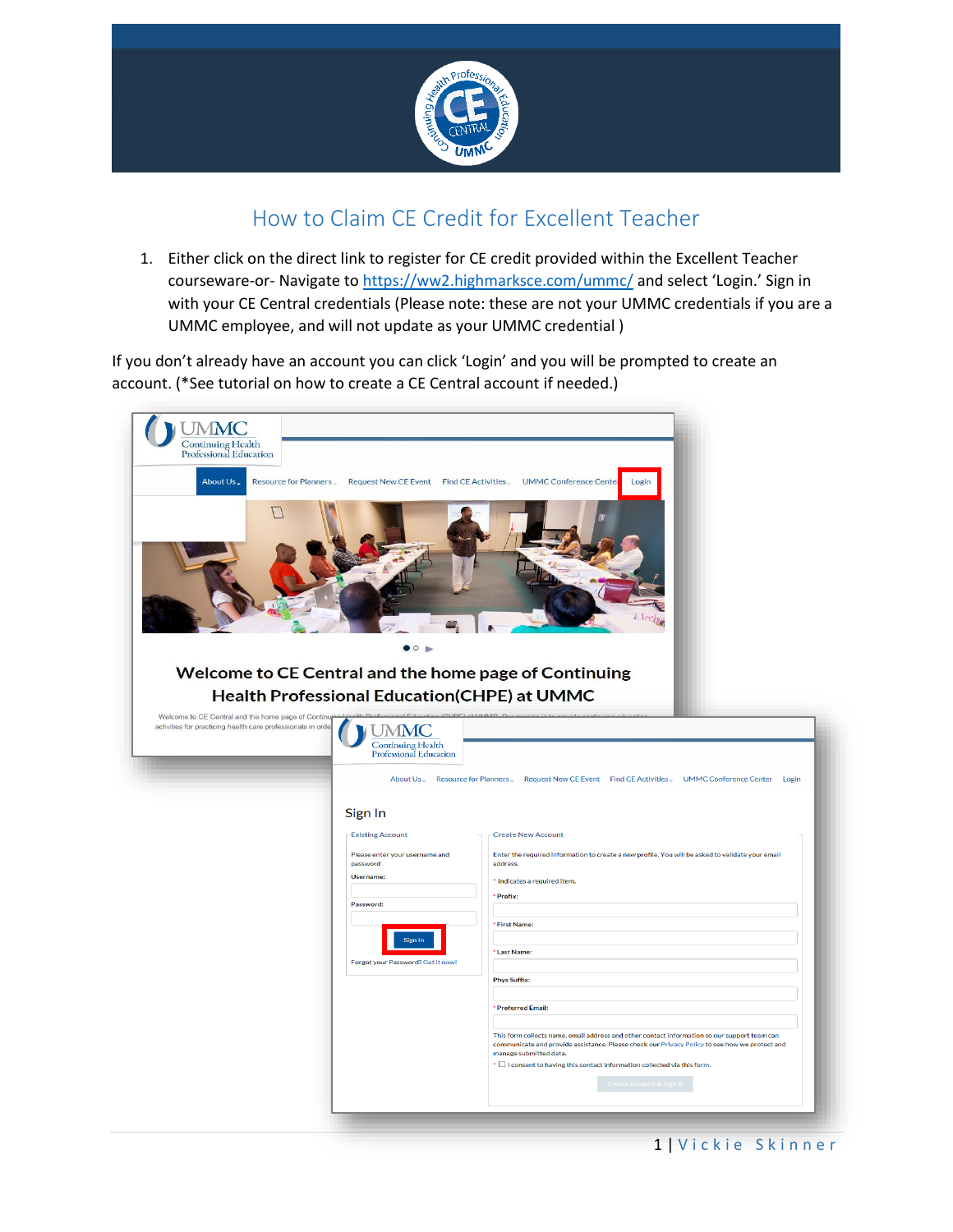

## How to Claim CE Credit for Excellent Teacher

1. Either click on the direct link to register for CE credit provided within the Excellent Teacher courseware-or- Navigate to<https://ww2.highmarksce.com/ummc/> and select 'Login.' Sign in with your CE Central credentials (Please note: these are not your UMMC credentials if you are a UMMC employee, and will not update as your UMMC credential )

If you don't already have an account you can click 'Login' and you will be prompted to create an account. (\*See tutorial on how to create a CE Central account if needed.)

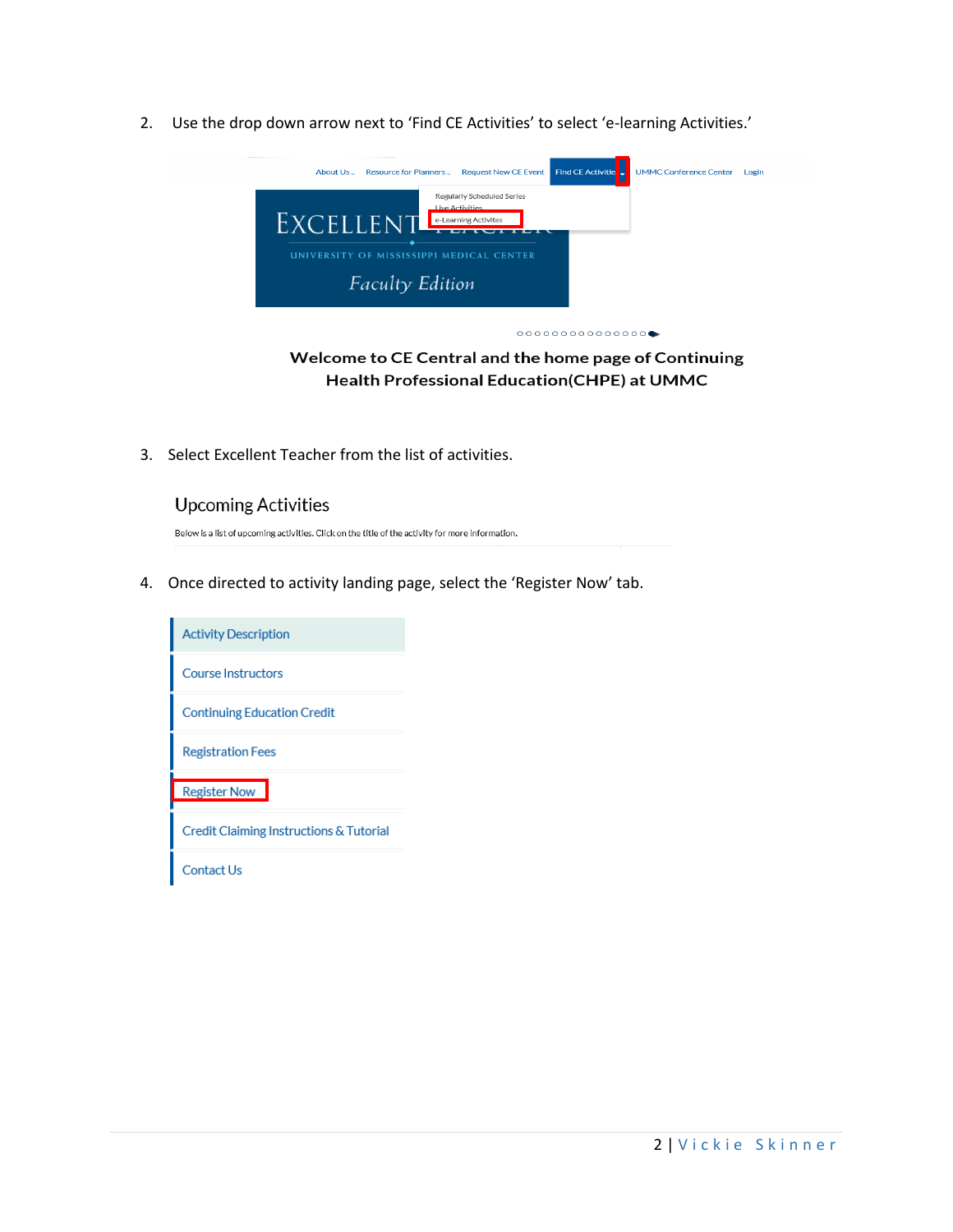2. Use the drop down arrow next to 'Find CE Activities' to select 'e-learning Activities.'



Welcome to CE Central and the home page of Continuing **Health Professional Education(CHPE) at UMMC** 

3. Select Excellent Teacher from the list of activities.

## **Upcoming Activities**

Below is a list of upcoming activities. Click on the title of the activity for more information.

4. Once directed to activity landing page, select the 'Register Now' tab.